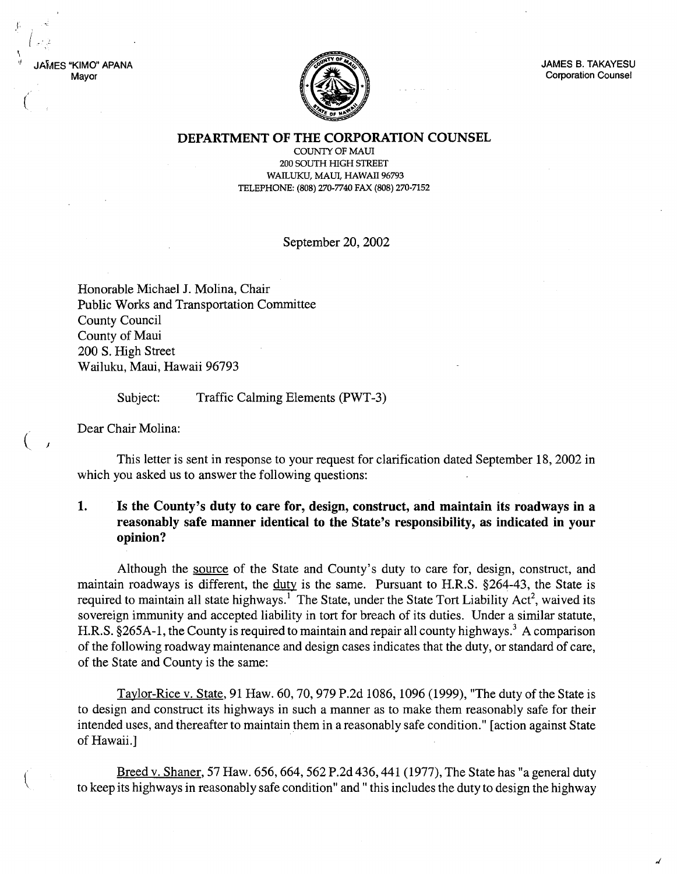$MFS$  "KIMO" APANA Mayor

(  $\mathbf{I}$ 

(



JAMES B. TAKAYESU Corporation Counsel

DEPARTMENT OF THE CORPORATION COUNSEL

COUNTY OF MAUl 200 SOUTH HIGH STREET WAILUKU, MAUL HAWAII 96793 TELEPHONE: (808) 270-7740 FAX (808) 270-7152

September 20, 2002

Honorable Michael J. Molina, Chair Public Works and Transportation Committee County Council County of Maui 200 S. High Street Wailuku, Maui, Hawaii 96793

> Subject: Traffic Calming Elements (PWT-3)

Dear Chair Molina:

j

This letter is sent in response to your request for clarification dated September 18, 2002 in which you asked us to answer the following questions:

## 1. Is the County's duty to care for, design, construct, and maintain its roadways in a reasonably safe manner identical to the State's responsibility, as indicated in your opinion?

Although the source of the State and County's duty to care for, design, construct, and maintain roadways is different, the duty is the same. Pursuant to H.R.S. §264-43, the State is required to maintain all state highways.<sup>1</sup> The State, under the State Tort Liability Act<sup>2</sup>, waived its sovereign immunity and accepted liability in tort for breach of its duties. Under a similar statute, H.R.S. §265A-1, the County is required to maintain and repair all county highways.<sup>3</sup> A comparison of the following roadway maintenance and design cases indicates that the duty, or standard of care, of the State and County is the same:

Taylor-Rice v. State, 91 Haw. 60, 70, 979 P.2d 1086,1096 (1999), "The duty of the State is to design and construct its highways in such a manner as to make them reasonably safe for their intended uses, and thereafter to maintain them in a reasonably safe condition." [action against State of Hawaii.]

Breed v. Shaner, 57 Haw. 656, 664, 562 P.2d 436, 441 (1977), The State has"a general duty to keep its highways in reasonably safe condition" and" this includes the duty to design the highway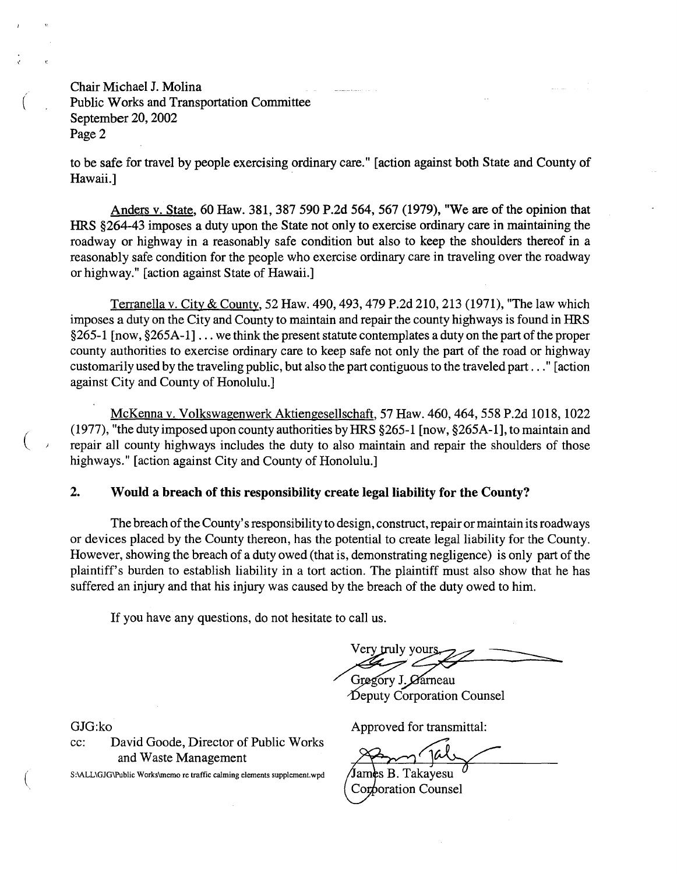Chair Michael J. Molina Public Works and Transportation Committee September 20, 2002 Page 2

to be safe for travel by people exercising ordinary care." [action against both State and County of Hawaii.]

Anders v. State, 60 Haw. 381, 387 590 P.2d 564, 567 (1979), "We are of the opinion that HRS §264-43 imposes a duty upon the State not only to exercise ordinary care in maintaining the roadway or highway in a reasonably safe condition but also to keep the shoulders thereof in a reasonably safe condition for the people who exercise ordinary care in traveling over the roadway or highway." [action against State of Hawaii.]

Terranella v. City & County, 52 Haw. 490, 493, 479 P.2d 210, 213 (1971), "The law which imposes a duty on the City and County to maintain and repair the county highways is found in HRS  $§265-1$  [now,  $§265A-1] \ldots$  we think the present statute contemplates a duty on the part of the proper county authorities to exercise ordinary care to keep safe not only the part of the road or highway customarily used by the traveling public, but also the part contiguous to the traveled part ..." [action against City and County of Honolulu.]

McKenna v. Volkswagenwerk Aktiengesellschaft, 57 Haw. 460, 464, 558 P.2d 1018, 1022 (1977), "the duty imposed upon county authorities byHRS §265-1 [now, §265A-1], to maintain and repair all county highways includes the duty to also maintain and repair the shoulders of those highways." [action against City and County of Honolulu.]

## 2. Would a breach of this responsibility create legal liability for the County?

The breach of the County's responsibility to design, construct, repair or maintain its roadways or devices placed by the County thereon, has the potential to create legal liability for the County. However, showing the breach of a duty owed (that is, demonstrating negligence) is only part of the plaintiff's burden to establish liability in a tort action. The plaintiff must also show that he has suffered an injury and that his injury was caused by the breach of the duty owed to him.

If you have any questions, do not hesitate to call us.

Il us.<br>ery truly yours

Gregory J. Carneau  $\Delta$ eputy Corporation Counsel

GJG:ko

(

cc: David Goode, Director of Public Works and Waste Management

S:\ALL\GJG\Public Works\memo re traffic calming elements supplement.wpd

Approved for transmittal:

Tal

James B. Takayesu Corporation Counsel